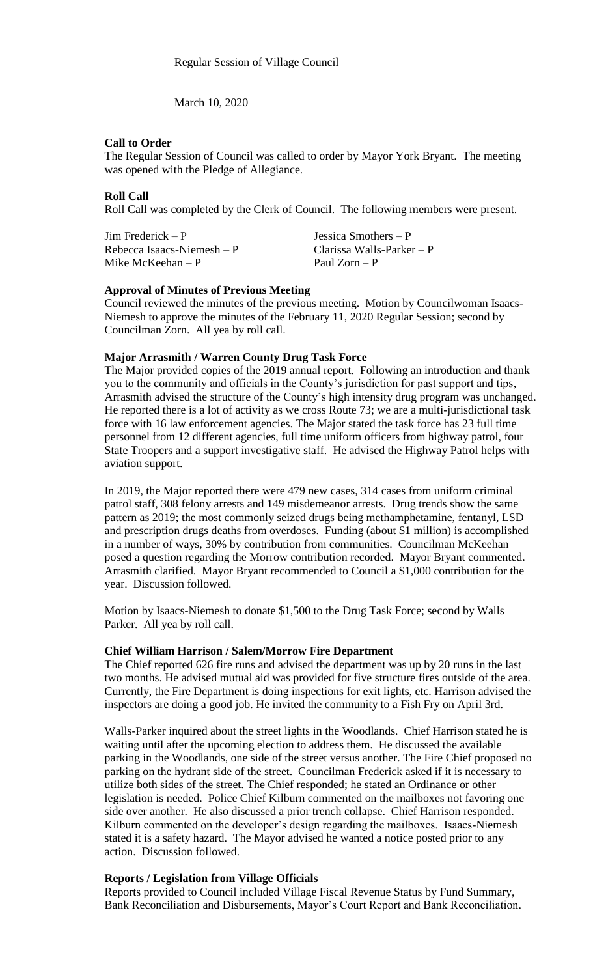March 10, 2020

## **Call to Order**

The Regular Session of Council was called to order by Mayor York Bryant. The meeting was opened with the Pledge of Allegiance.

## **Roll Call**

Roll Call was completed by the Clerk of Council. The following members were present.

Jim Frederick – P Jessica Smothers – P Rebecca Isaacs-Niemesh – P Clarissa Walls-Parker – P Mike McKeehan – P Paul Zorn – P

#### **Approval of Minutes of Previous Meeting**

Council reviewed the minutes of the previous meeting. Motion by Councilwoman Isaacs-Niemesh to approve the minutes of the February 11, 2020 Regular Session; second by Councilman Zorn. All yea by roll call.

# **Major Arrasmith / Warren County Drug Task Force**

The Major provided copies of the 2019 annual report. Following an introduction and thank you to the community and officials in the County's jurisdiction for past support and tips, Arrasmith advised the structure of the County's high intensity drug program was unchanged. He reported there is a lot of activity as we cross Route 73; we are a multi-jurisdictional task force with 16 law enforcement agencies. The Major stated the task force has 23 full time personnel from 12 different agencies, full time uniform officers from highway patrol, four State Troopers and a support investigative staff. He advised the Highway Patrol helps with aviation support.

In 2019, the Major reported there were 479 new cases, 314 cases from uniform criminal patrol staff, 308 felony arrests and 149 misdemeanor arrests. Drug trends show the same pattern as 2019; the most commonly seized drugs being methamphetamine, fentanyl, LSD and prescription drugs deaths from overdoses. Funding (about \$1 million) is accomplished in a number of ways, 30% by contribution from communities. Councilman McKeehan posed a question regarding the Morrow contribution recorded. Mayor Bryant commented. Arrasmith clarified. Mayor Bryant recommended to Council a \$1,000 contribution for the year. Discussion followed.

Motion by Isaacs-Niemesh to donate \$1,500 to the Drug Task Force; second by Walls Parker. All yea by roll call.

#### **Chief William Harrison / Salem/Morrow Fire Department**

The Chief reported 626 fire runs and advised the department was up by 20 runs in the last two months. He advised mutual aid was provided for five structure fires outside of the area. Currently, the Fire Department is doing inspections for exit lights, etc. Harrison advised the inspectors are doing a good job. He invited the community to a Fish Fry on April 3rd.

Walls-Parker inquired about the street lights in the Woodlands. Chief Harrison stated he is waiting until after the upcoming election to address them. He discussed the available parking in the Woodlands, one side of the street versus another. The Fire Chief proposed no parking on the hydrant side of the street. Councilman Frederick asked if it is necessary to utilize both sides of the street. The Chief responded; he stated an Ordinance or other legislation is needed. Police Chief Kilburn commented on the mailboxes not favoring one side over another. He also discussed a prior trench collapse. Chief Harrison responded. Kilburn commented on the developer's design regarding the mailboxes. Isaacs-Niemesh stated it is a safety hazard. The Mayor advised he wanted a notice posted prior to any action. Discussion followed.

# **Reports / Legislation from Village Officials**

Reports provided to Council included Village Fiscal Revenue Status by Fund Summary, Bank Reconciliation and Disbursements, Mayor's Court Report and Bank Reconciliation.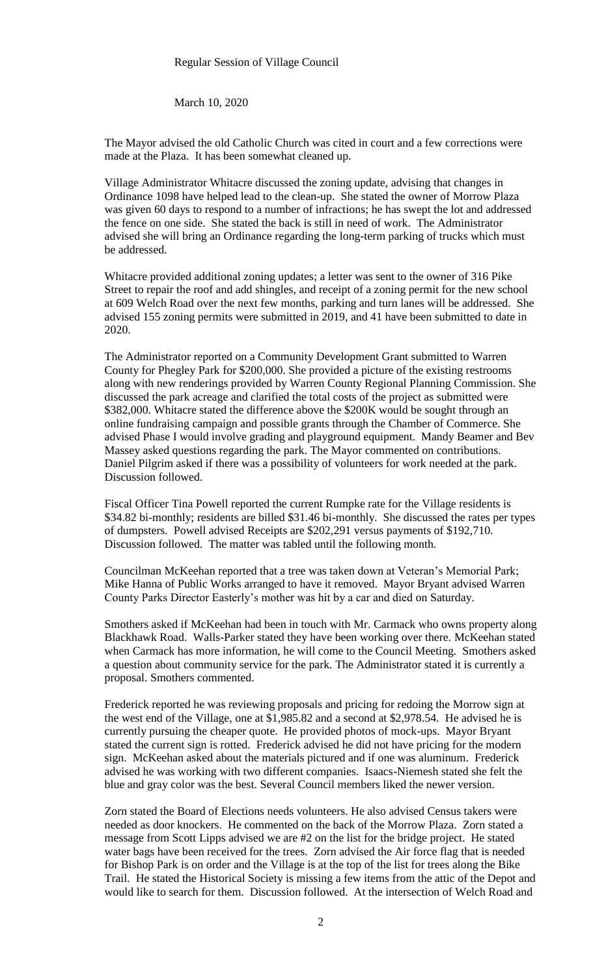March 10, 2020

The Mayor advised the old Catholic Church was cited in court and a few corrections were made at the Plaza. It has been somewhat cleaned up.

Village Administrator Whitacre discussed the zoning update, advising that changes in Ordinance 1098 have helped lead to the clean-up. She stated the owner of Morrow Plaza was given 60 days to respond to a number of infractions; he has swept the lot and addressed the fence on one side. She stated the back is still in need of work. The Administrator advised she will bring an Ordinance regarding the long-term parking of trucks which must be addressed.

Whitacre provided additional zoning updates; a letter was sent to the owner of 316 Pike Street to repair the roof and add shingles, and receipt of a zoning permit for the new school at 609 Welch Road over the next few months, parking and turn lanes will be addressed. She advised 155 zoning permits were submitted in 2019, and 41 have been submitted to date in 2020.

The Administrator reported on a Community Development Grant submitted to Warren County for Phegley Park for \$200,000. She provided a picture of the existing restrooms along with new renderings provided by Warren County Regional Planning Commission. She discussed the park acreage and clarified the total costs of the project as submitted were \$382,000. Whitacre stated the difference above the \$200K would be sought through an online fundraising campaign and possible grants through the Chamber of Commerce. She advised Phase I would involve grading and playground equipment. Mandy Beamer and Bev Massey asked questions regarding the park. The Mayor commented on contributions. Daniel Pilgrim asked if there was a possibility of volunteers for work needed at the park. Discussion followed.

Fiscal Officer Tina Powell reported the current Rumpke rate for the Village residents is \$34.82 bi-monthly; residents are billed \$31.46 bi-monthly. She discussed the rates per types of dumpsters. Powell advised Receipts are \$202,291 versus payments of \$192,710. Discussion followed. The matter was tabled until the following month.

Councilman McKeehan reported that a tree was taken down at Veteran's Memorial Park; Mike Hanna of Public Works arranged to have it removed. Mayor Bryant advised Warren County Parks Director Easterly's mother was hit by a car and died on Saturday.

Smothers asked if McKeehan had been in touch with Mr. Carmack who owns property along Blackhawk Road. Walls-Parker stated they have been working over there. McKeehan stated when Carmack has more information, he will come to the Council Meeting. Smothers asked a question about community service for the park. The Administrator stated it is currently a proposal. Smothers commented.

Frederick reported he was reviewing proposals and pricing for redoing the Morrow sign at the west end of the Village, one at \$1,985.82 and a second at \$2,978.54. He advised he is currently pursuing the cheaper quote. He provided photos of mock-ups. Mayor Bryant stated the current sign is rotted. Frederick advised he did not have pricing for the modern sign. McKeehan asked about the materials pictured and if one was aluminum. Frederick advised he was working with two different companies. Isaacs-Niemesh stated she felt the blue and gray color was the best. Several Council members liked the newer version.

Zorn stated the Board of Elections needs volunteers. He also advised Census takers were needed as door knockers. He commented on the back of the Morrow Plaza. Zorn stated a message from Scott Lipps advised we are #2 on the list for the bridge project. He stated water bags have been received for the trees. Zorn advised the Air force flag that is needed for Bishop Park is on order and the Village is at the top of the list for trees along the Bike Trail. He stated the Historical Society is missing a few items from the attic of the Depot and would like to search for them. Discussion followed. At the intersection of Welch Road and